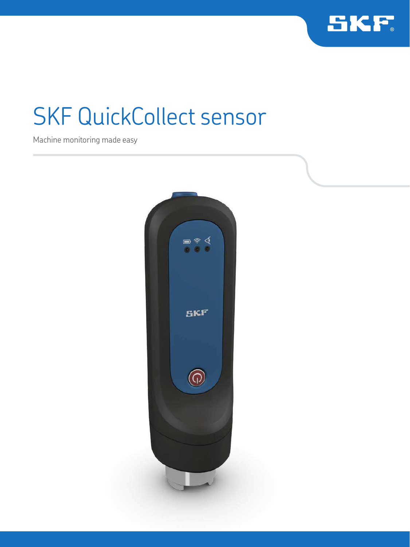

## SKF QuickCollect sensor

Machine monitoring made easy

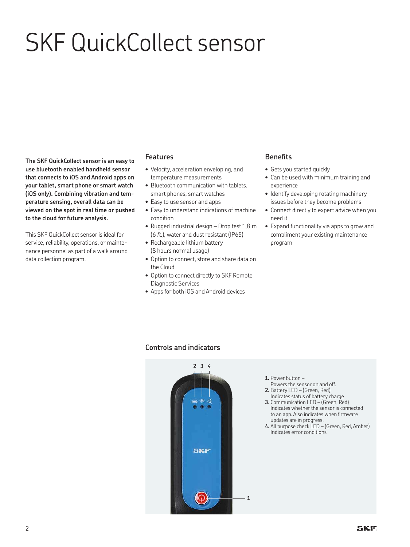# SKF QuickCollect sensor

**The SKF QuickCollect sensor is an easy to use bluetooth enabled handheld sensor that connects to iOS and Android apps on your tablet, smart phone or smart watch (iOS only). Combining vibration and temperature sensing, overall data can be viewed on the spot in real time or pushed to the cloud for future analysis.**

This SKF QuickCollect sensor is ideal for service, reliability, operations, or maintenance personnel as part of a walk around data collection program.

#### **Features**

- Velocity, acceleration enveloping, and temperature measurements
- Bluetooth communication with tablets, smart phones, smart watches
- Easy to use sensor and apps
- Easy to understand indications of machine condition
- Rugged industrial design Drop test 1,8 m (*6 ft.*), water and dust resistant (IP65)
- Rechargeable lithium battery (8 hours normal usage)
- Option to connect, store and share data on the Cloud
- Option to connect directly to SKF Remote Diagnostic Services
- Apps for both iOS and Android devices

#### **Beneits**

- Gets you started quickly
- Can be used with minimum training and experience
- Identify developing rotating machinery issues before they become problems
- Connect directly to expert advice when you need it
- Expand functionality via apps to grow and compliment your existing maintenance program

#### **Controls and indicators**



- **1.** Power button –
- Powers the sensor on and off. **2.** Battery LED – (Green, Red)
- Indicates status of battery charge **3.** Communication LED – (Green, Red)
- Indicates whether the sensor is connected to an app. Also indicates when firmware updates are in progress.
- **4.** All purpose check LED (Green, Red, Amber) Indicates error conditions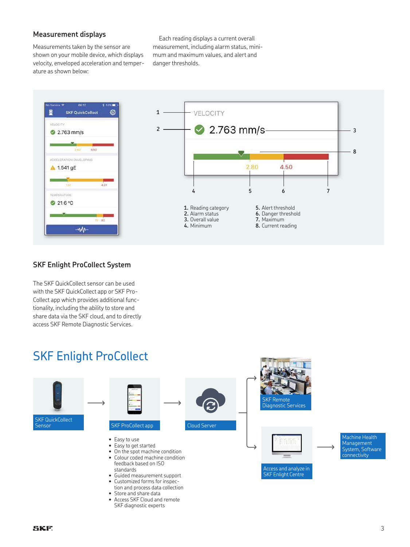#### **Measurement displays**

Measurements taken by the sensor are shown on your mobile device, which displays velocity, enveloped acceleration and temperature as shown below:

Each reading displays a current overall measurement, including alarm status, minimum and maximum values, and alert and danger thresholds.



#### **SKF Enlight ProCollect System**

The SKF QuickCollect sensor can be used with the SKF QuickCollect app or SKF Pro-Collect app which provides additional functionality, including the ability to store and share data via the SKF cloud, and to directly access SKF Remote Diagnostic Services.

### SKF Enlight ProCollect

SKF diagnostic experts